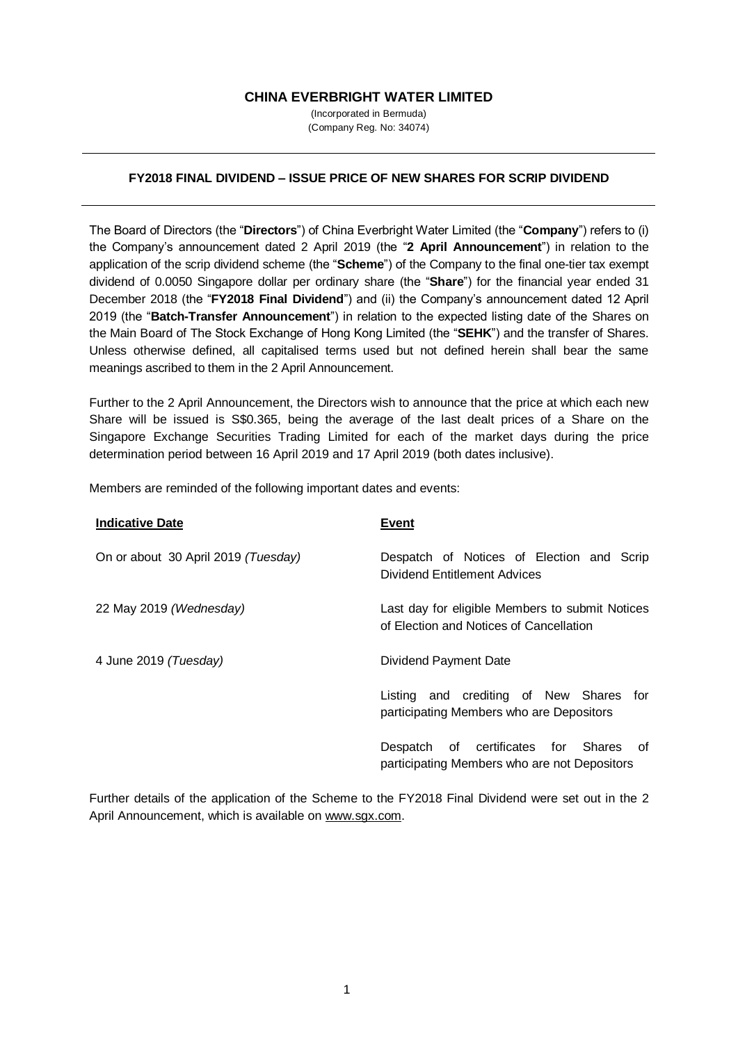## **CHINA EVERBRIGHT WATER LIMITED**

(Incorporated in Bermuda) (Company Reg. No: 34074)

## **FY2018 FINAL DIVIDEND – ISSUE PRICE OF NEW SHARES FOR SCRIP DIVIDEND**

The Board of Directors (the "**Directors**") of China Everbright Water Limited (the "**Company**") refers to (i) the Company's announcement dated 2 April 2019 (the "**2 April Announcement**") in relation to the application of the scrip dividend scheme (the "**Scheme**") of the Company to the final one-tier tax exempt dividend of 0.0050 Singapore dollar per ordinary share (the "**Share**") for the financial year ended 31 December 2018 (the "**FY2018 Final Dividend**") and (ii) the Company's announcement dated 12 April 2019 (the "**Batch-Transfer Announcement**") in relation to the expected listing date of the Shares on the Main Board of The Stock Exchange of Hong Kong Limited (the "**SEHK**") and the transfer of Shares. Unless otherwise defined, all capitalised terms used but not defined herein shall bear the same meanings ascribed to them in the 2 April Announcement.

Further to the 2 April Announcement, the Directors wish to announce that the price at which each new Share will be issued is S\$0.365, being the average of the last dealt prices of a Share on the Singapore Exchange Securities Trading Limited for each of the market days during the price determination period between 16 April 2019 and 17 April 2019 (both dates inclusive).

Members are reminded of the following important dates and events:

| <b>Indicative Date</b>              | <b>Event</b>                                                                               |
|-------------------------------------|--------------------------------------------------------------------------------------------|
| On or about 30 April 2019 (Tuesday) | Despatch of Notices of Election and Scrip<br>Dividend Entitlement Advices                  |
| 22 May 2019 (Wednesday)             | Last day for eligible Members to submit Notices<br>of Election and Notices of Cancellation |
| 4 June 2019 (Tuesday)               | Dividend Payment Date                                                                      |
|                                     | Listing and crediting of New Shares for<br>participating Members who are Depositors        |
|                                     | Despatch of certificates for Shares<br>of<br>participating Members who are not Depositors  |

Further details of the application of the Scheme to the FY2018 Final Dividend were set out in the 2 April Announcement, which is available on www.sgx.com.